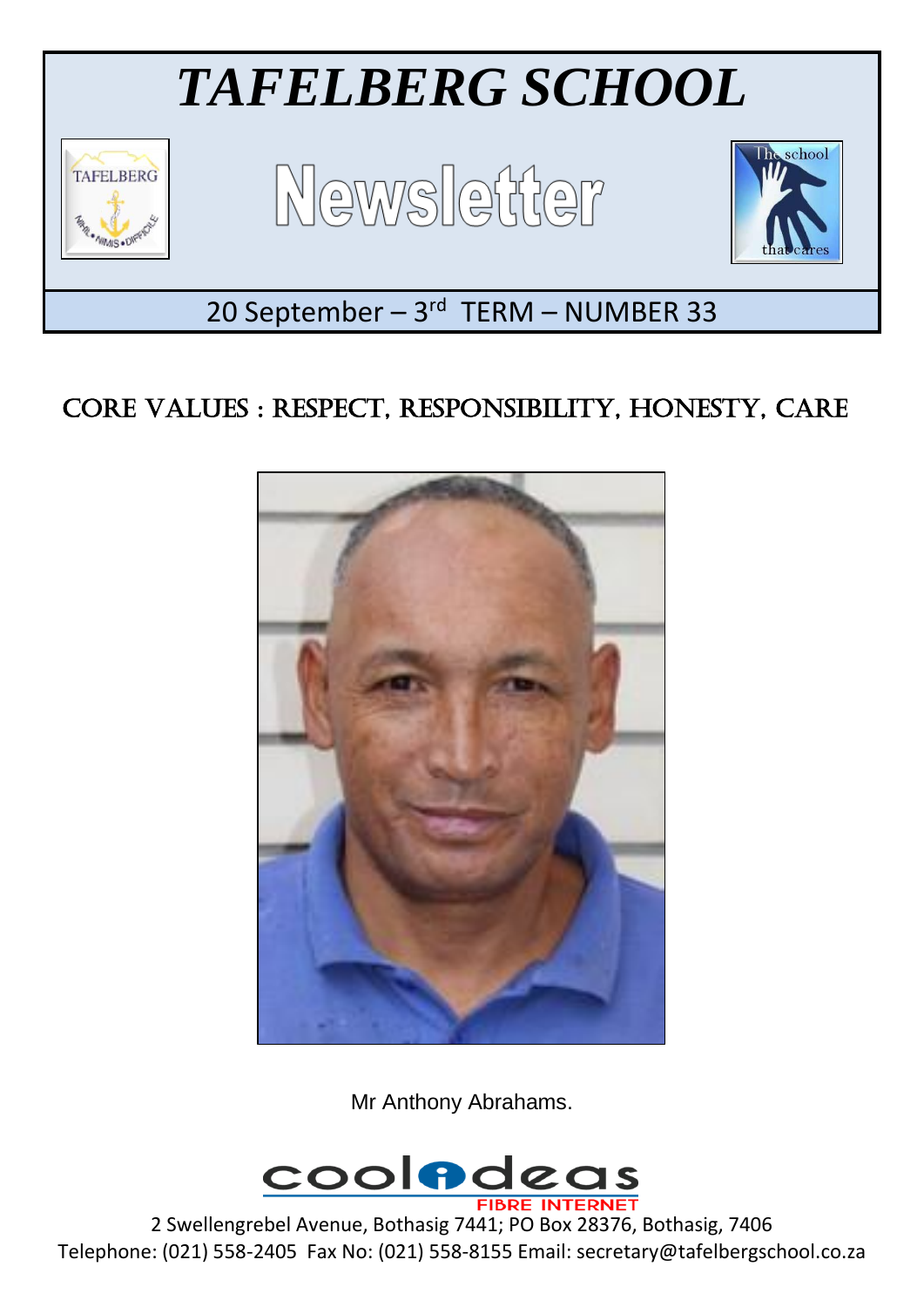

# CORE VALUES : RESPECT, RESPONSIBILITY, HONESTY, CARE



Mr Anthony Abrahams.



2 Swellengrebel Avenue, Bothasig 7441; PO Box 28376, Bothasig, 7406 Telephone: (021) 558-2405 Fax No: (021) 558-8155 Email: secretary@tafelbergschool.co.za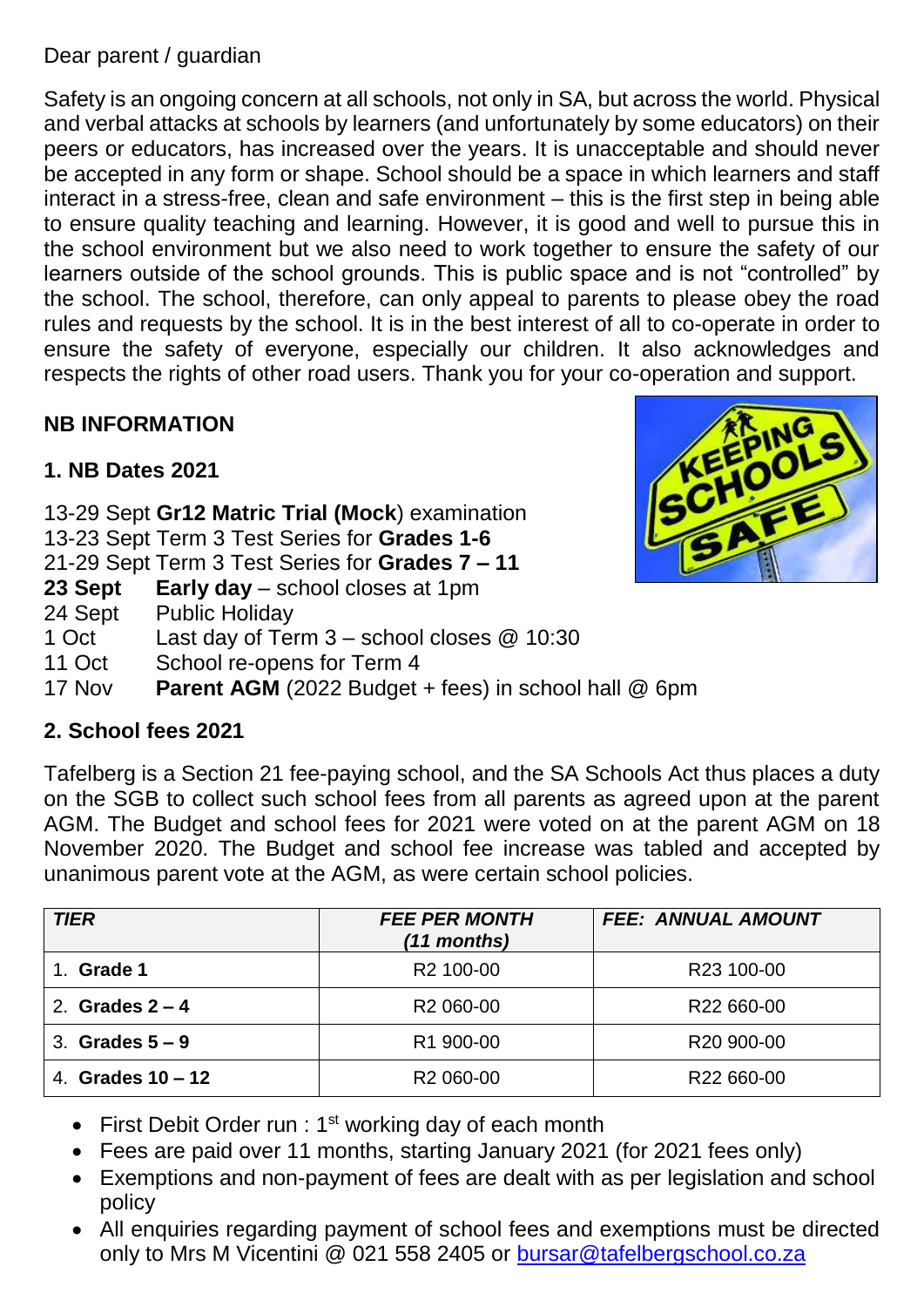Dear parent / guardian

Safety is an ongoing concern at all schools, not only in SA, but across the world. Physical and verbal attacks at schools by learners (and unfortunately by some educators) on their peers or educators, has increased over the years. It is unacceptable and should never be accepted in any form or shape. School should be a space in which learners and staff interact in a stress-free, clean and safe environment – this is the first step in being able to ensure quality teaching and learning. However, it is good and well to pursue this in the school environment but we also need to work together to ensure the safety of our learners outside of the school grounds. This is public space and is not "controlled" by the school. The school, therefore, can only appeal to parents to please obey the road rules and requests by the school. It is in the best interest of all to co-operate in order to ensure the safety of everyone, especially our children. It also acknowledges and

## **NB INFORMATION**

# **1. NB Dates 2021**

- 13-29 Sept **Gr12 Matric Trial (Mock**) examination
- 13-23 Sept Term 3 Test Series for **Grades 1-6**
- 21-29 Sept Term 3 Test Series for **Grades 7 – 11**
- **23 Sept Early day** school closes at 1pm
- 24 Sept Public Holiday
- 1 Oct Last day of Term 3 school closes @ 10:30
- 11 Oct School re-opens for Term 4
- 17 Nov **Parent AGM** (2022 Budget + fees) in school hall @ 6pm

#### **2. School fees 2021**

Tafelberg is a Section 21 fee-paying school, and the SA Schools Act thus places a duty on the SGB to collect such school fees from all parents as agreed upon at the parent AGM. The Budget and school fees for 2021 were voted on at the parent AGM on 18 November 2020. The Budget and school fee increase was tabled and accepted by unanimous parent vote at the AGM, as were certain school policies.

| <b>TIER</b>         | <b>FEE PER MONTH</b><br>$(11$ months) | <b>FEE: ANNUAL AMOUNT</b> |
|---------------------|---------------------------------------|---------------------------|
| 1. Grade 1          | R <sub>2</sub> 100-00                 | R23 100-00                |
| 2. Grades $2 - 4$   | R <sub>2</sub> 060-00                 | R <sub>22</sub> 660-00    |
| 3. Grades $5-9$     | R1 900-00                             | R <sub>20</sub> 900-00    |
| 4. Grades $10 - 12$ | R <sub>2</sub> 060-00                 | R22 660-00                |

- First Debit Order run :  $1<sup>st</sup>$  working day of each month
- Fees are paid over 11 months, starting January 2021 (for 2021 fees only)
- Exemptions and non-payment of fees are dealt with as per legislation and school policy
- All enquiries regarding payment of school fees and exemptions must be directed only to Mrs M Vicentini @ 021 558 2405 or [bursar@tafelbergschool.co.za](mailto:bursar@tafelbergschool.co.za)

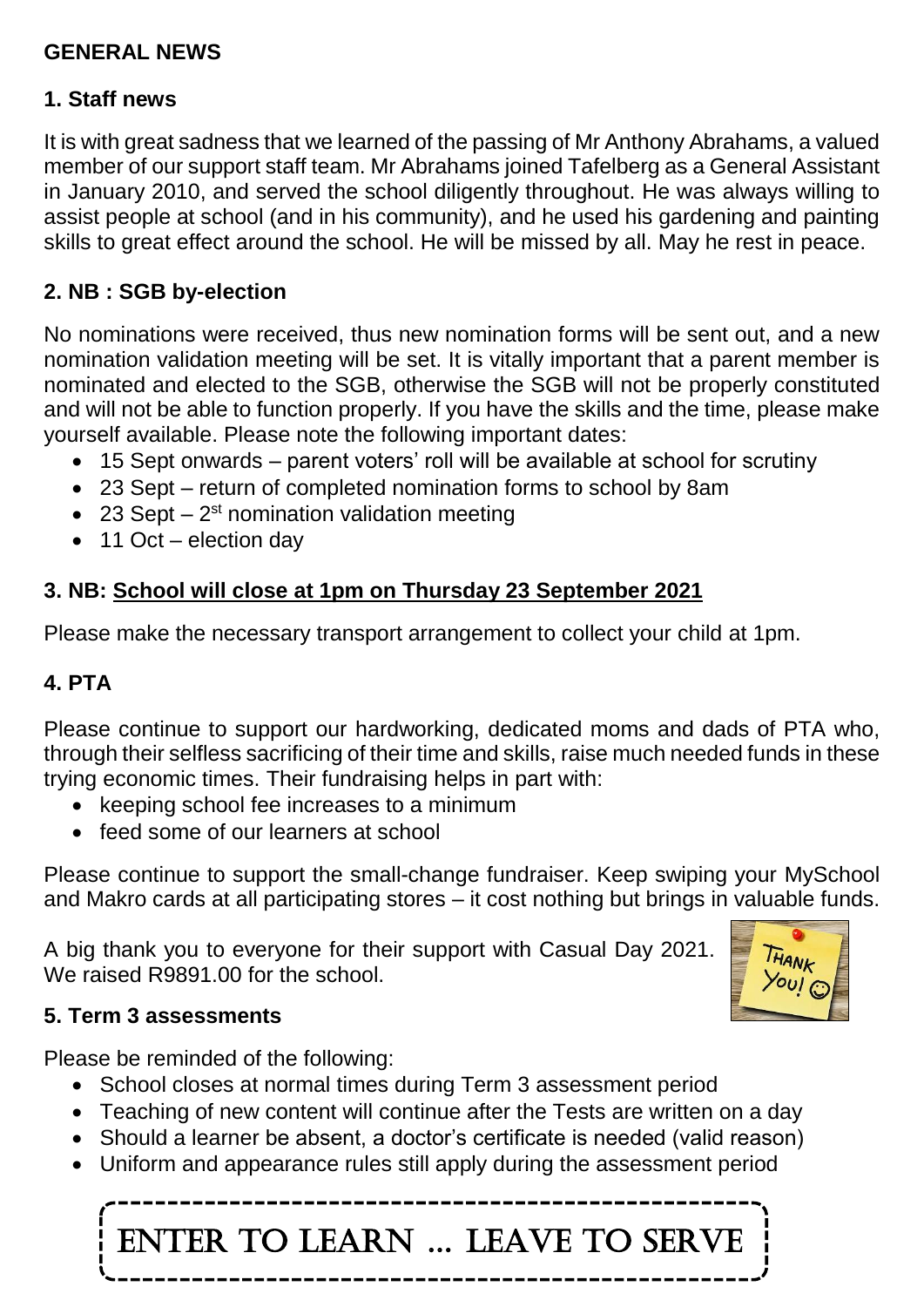#### **GENERAL NEWS**

#### **1. Staff news**

It is with great sadness that we learned of the passing of Mr Anthony Abrahams, a valued member of our support staff team. Mr Abrahams joined Tafelberg as a General Assistant in January 2010, and served the school diligently throughout. He was always willing to assist people at school (and in his community), and he used his gardening and painting skills to great effect around the school. He will be missed by all. May he rest in peace.

#### **2. NB : SGB by-election**

No nominations were received, thus new nomination forms will be sent out, and a new nomination validation meeting will be set. It is vitally important that a parent member is nominated and elected to the SGB, otherwise the SGB will not be properly constituted and will not be able to function properly. If you have the skills and the time, please make yourself available. Please note the following important dates:

- 15 Sept onwards parent voters' roll will be available at school for scrutiny
- 23 Sept return of completed nomination forms to school by 8am
- 23 Sept  $-2$ <sup>st</sup> nomination validation meeting
- 11 Oct election day

## **3. NB: School will close at 1pm on Thursday 23 September 2021**

Please make the necessary transport arrangement to collect your child at 1pm.

#### **4. PTA**

Please continue to support our hardworking, dedicated moms and dads of PTA who, through their selfless sacrificing of their time and skills, raise much needed funds in these trying economic times. Their fundraising helps in part with:

- keeping school fee increases to a minimum
- feed some of our learners at school

Please continue to support the small-change fundraiser. Keep swiping your MySchool and Makro cards at all participating stores – it cost nothing but brings in valuable funds.

A big thank you to everyone for their support with Casual Day 2021. We raised R9891.00 for the school.



#### **5. Term 3 assessments**

Please be reminded of the following:

- School closes at normal times during Term 3 assessment period
- Teaching of new content will continue after the Tests are written on a day
- Should a learner be absent, a doctor's certificate is needed (valid reason)
- Uniform and appearance rules still apply during the assessment period

ENTER TO LEARN … LEAVE TO SERVE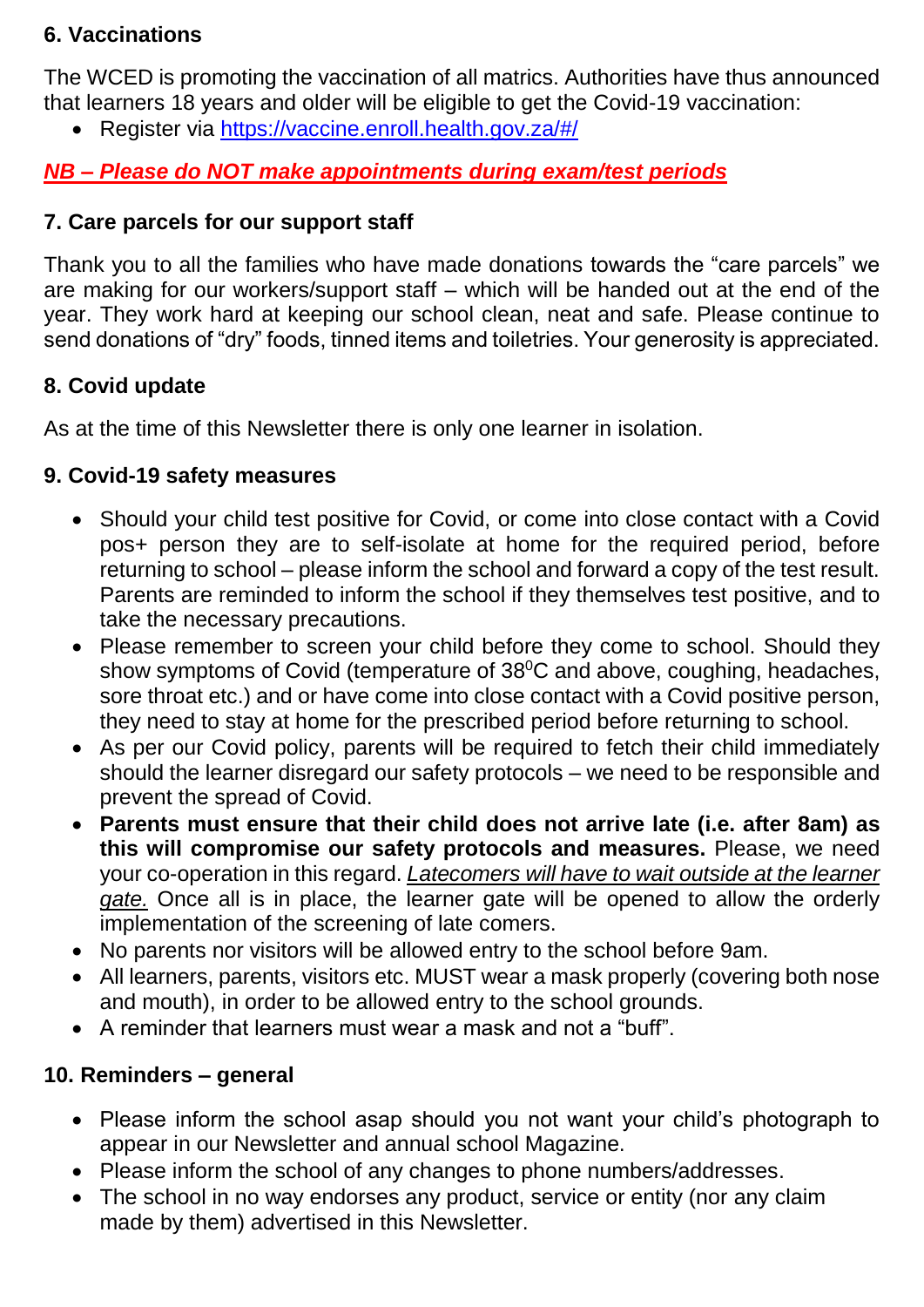#### **6. Vaccinations**

The WCED is promoting the vaccination of all matrics. Authorities have thus announced that learners 18 years and older will be eligible to get the Covid-19 vaccination:

Register via <https://vaccine.enroll.health.gov.za/#/>

## *NB – Please do NOT make appointments during exam/test periods*

#### **7. Care parcels for our support staff**

Thank you to all the families who have made donations towards the "care parcels" we are making for our workers/support staff – which will be handed out at the end of the year. They work hard at keeping our school clean, neat and safe. Please continue to send donations of "dry" foods, tinned items and toiletries. Your generosity is appreciated.

#### **8. Covid update**

As at the time of this Newsletter there is only one learner in isolation.

#### **9. Covid-19 safety measures**

- Should your child test positive for Covid, or come into close contact with a Covid pos+ person they are to self-isolate at home for the required period, before returning to school – please inform the school and forward a copy of the test result. Parents are reminded to inform the school if they themselves test positive, and to take the necessary precautions.
- Please remember to screen your child before they come to school. Should they show symptoms of Covid (temperature of 38<sup>0</sup>C and above, coughing, headaches, sore throat etc.) and or have come into close contact with a Covid positive person, they need to stay at home for the prescribed period before returning to school.
- As per our Covid policy, parents will be required to fetch their child immediately should the learner disregard our safety protocols – we need to be responsible and prevent the spread of Covid.
- **Parents must ensure that their child does not arrive late (i.e. after 8am) as this will compromise our safety protocols and measures.** Please, we need your co-operation in this regard. *Latecomers will have to wait outside at the learner gate.* Once all is in place, the learner gate will be opened to allow the orderly implementation of the screening of late comers.
- No parents nor visitors will be allowed entry to the school before 9am.
- All learners, parents, visitors etc. MUST wear a mask properly (covering both nose and mouth), in order to be allowed entry to the school grounds.
- A reminder that learners must wear a mask and not a "buff".

#### **10. Reminders – general**

- Please inform the school asap should you not want your child's photograph to appear in our Newsletter and annual school Magazine.
- Please inform the school of any changes to phone numbers/addresses.
- The school in no way endorses any product, service or entity (nor any claim made by them) advertised in this Newsletter.